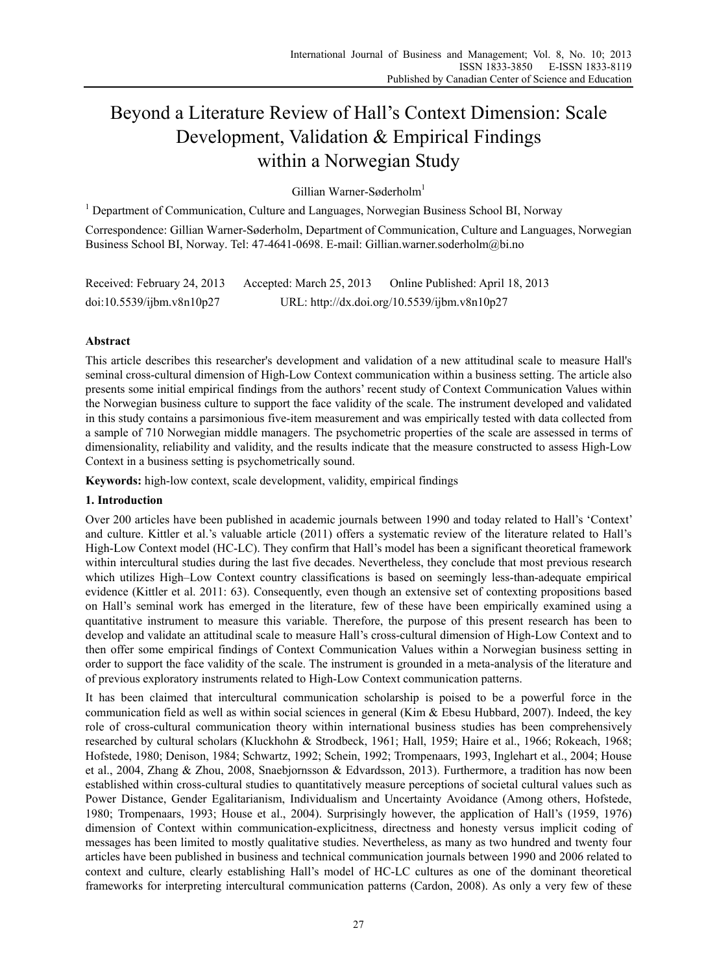# Beyond a Literature Review of Hall's Context Dimension: Scale Development, Validation & Empirical Findings within a Norwegian Study

Gillian Warner-Søderholm<sup>1</sup>

<sup>1</sup> Department of Communication, Culture and Languages, Norwegian Business School BI, Norway

Correspondence: Gillian Warner-Søderholm, Department of Communication, Culture and Languages, Norwegian Business School BI, Norway. Tel: 47-4641-0698. E-mail: Gillian.warner.soderholm@bi.no

Received: February 24, 2013 Accepted: March 25, 2013 Online Published: April 18, 2013 doi:10.5539/ijbm.v8n10p27 URL: http://dx.doi.org/10.5539/ijbm.v8n10p27

# **Abstract**

This article describes this researcher's development and validation of a new attitudinal scale to measure Hall's seminal cross-cultural dimension of High-Low Context communication within a business setting. The article also presents some initial empirical findings from the authors' recent study of Context Communication Values within the Norwegian business culture to support the face validity of the scale. The instrument developed and validated in this study contains a parsimonious five-item measurement and was empirically tested with data collected from a sample of 710 Norwegian middle managers. The psychometric properties of the scale are assessed in terms of dimensionality, reliability and validity, and the results indicate that the measure constructed to assess High-Low Context in a business setting is psychometrically sound.

**Keywords:** high-low context, scale development, validity, empirical findings

## **1. Introduction**

Over 200 articles have been published in academic journals between 1990 and today related to Hall's 'Context' and culture. Kittler et al.'s valuable article (2011) offers a systematic review of the literature related to Hall's High-Low Context model (HC-LC). They confirm that Hall's model has been a significant theoretical framework within intercultural studies during the last five decades. Nevertheless, they conclude that most previous research which utilizes High–Low Context country classifications is based on seemingly less-than-adequate empirical evidence (Kittler et al. 2011: 63). Consequently, even though an extensive set of contexting propositions based on Hall's seminal work has emerged in the literature, few of these have been empirically examined using a quantitative instrument to measure this variable. Therefore, the purpose of this present research has been to develop and validate an attitudinal scale to measure Hall's cross-cultural dimension of High-Low Context and to then offer some empirical findings of Context Communication Values within a Norwegian business setting in order to support the face validity of the scale. The instrument is grounded in a meta-analysis of the literature and of previous exploratory instruments related to High-Low Context communication patterns.

It has been claimed that intercultural communication scholarship is poised to be a powerful force in the communication field as well as within social sciences in general (Kim & Ebesu Hubbard, 2007). Indeed, the key role of cross-cultural communication theory within international business studies has been comprehensively researched by cultural scholars (Kluckhohn & Strodbeck, 1961; Hall, 1959; Haire et al., 1966; Rokeach, 1968; Hofstede, 1980; Denison, 1984; Schwartz, 1992; Schein, 1992; Trompenaars, 1993, Inglehart et al., 2004; House et al., 2004, Zhang & Zhou, 2008, Snaebjornsson & Edvardsson, 2013). Furthermore, a tradition has now been established within cross-cultural studies to quantitatively measure perceptions of societal cultural values such as Power Distance, Gender Egalitarianism, Individualism and Uncertainty Avoidance (Among others, Hofstede, 1980; Trompenaars, 1993; House et al., 2004). Surprisingly however, the application of Hall's (1959, 1976) dimension of Context within communication-explicitness, directness and honesty versus implicit coding of messages has been limited to mostly qualitative studies. Nevertheless, as many as two hundred and twenty four articles have been published in business and technical communication journals between 1990 and 2006 related to context and culture, clearly establishing Hall's model of HC-LC cultures as one of the dominant theoretical frameworks for interpreting intercultural communication patterns (Cardon, 2008). As only a very few of these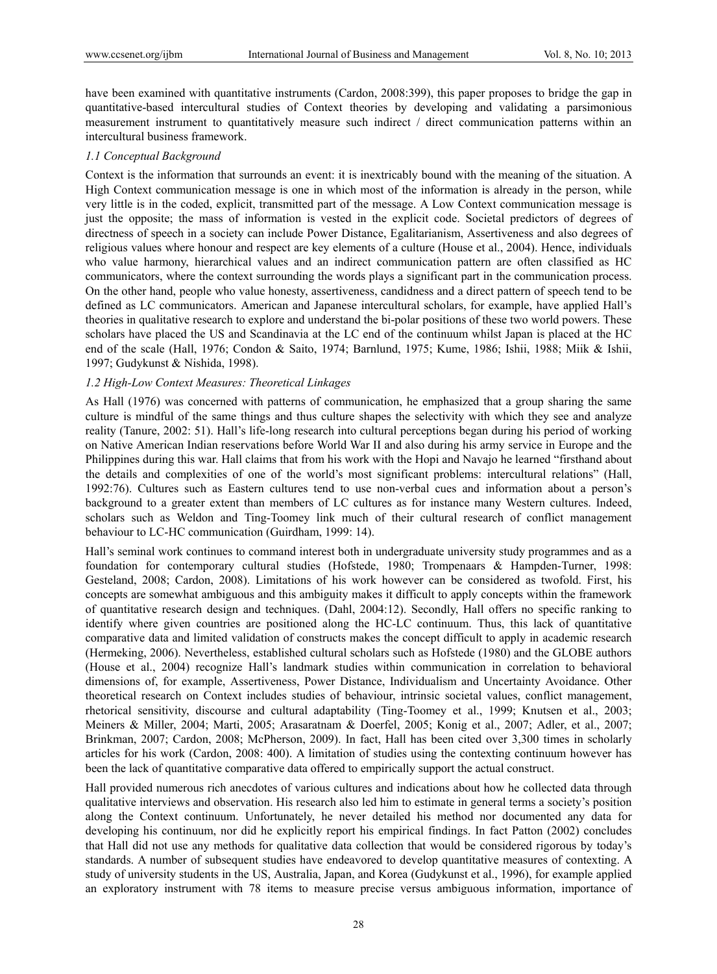have been examined with quantitative instruments (Cardon, 2008:399), this paper proposes to bridge the gap in quantitative-based intercultural studies of Context theories by developing and validating a parsimonious measurement instrument to quantitatively measure such indirect / direct communication patterns within an intercultural business framework.

#### *1.1 Conceptual Background*

Context is the information that surrounds an event: it is inextricably bound with the meaning of the situation. A High Context communication message is one in which most of the information is already in the person, while very little is in the coded, explicit, transmitted part of the message. A Low Context communication message is just the opposite; the mass of information is vested in the explicit code. Societal predictors of degrees of directness of speech in a society can include Power Distance, Egalitarianism, Assertiveness and also degrees of religious values where honour and respect are key elements of a culture (House et al., 2004). Hence, individuals who value harmony, hierarchical values and an indirect communication pattern are often classified as HC communicators, where the context surrounding the words plays a significant part in the communication process. On the other hand, people who value honesty, assertiveness, candidness and a direct pattern of speech tend to be defined as LC communicators. American and Japanese intercultural scholars, for example, have applied Hall's theories in qualitative research to explore and understand the bi-polar positions of these two world powers. These scholars have placed the US and Scandinavia at the LC end of the continuum whilst Japan is placed at the HC end of the scale (Hall, 1976; Condon & Saito, 1974; Barnlund, 1975; Kume, 1986; Ishii, 1988; Miik & Ishii, 1997; Gudykunst & Nishida, 1998).

#### *1.2 High-Low Context Measures: Theoretical Linkages*

As Hall (1976) was concerned with patterns of communication, he emphasized that a group sharing the same culture is mindful of the same things and thus culture shapes the selectivity with which they see and analyze reality (Tanure, 2002: 51). Hall's life-long research into cultural perceptions began during his period of working on Native American Indian reservations before World War II and also during his army service in Europe and the Philippines during this war. Hall claims that from his work with the Hopi and Navajo he learned "firsthand about the details and complexities of one of the world's most significant problems: intercultural relations" (Hall, 1992:76). Cultures such as Eastern cultures tend to use non-verbal cues and information about a person's background to a greater extent than members of LC cultures as for instance many Western cultures. Indeed, scholars such as Weldon and Ting-Toomey link much of their cultural research of conflict management behaviour to LC-HC communication (Guirdham, 1999: 14).

Hall's seminal work continues to command interest both in undergraduate university study programmes and as a foundation for contemporary cultural studies (Hofstede, 1980; Trompenaars & Hampden-Turner, 1998: Gesteland, 2008; Cardon, 2008). Limitations of his work however can be considered as twofold. First, his concepts are somewhat ambiguous and this ambiguity makes it difficult to apply concepts within the framework of quantitative research design and techniques. (Dahl, 2004:12). Secondly, Hall offers no specific ranking to identify where given countries are positioned along the HC-LC continuum. Thus, this lack of quantitative comparative data and limited validation of constructs makes the concept difficult to apply in academic research (Hermeking, 2006). Nevertheless, established cultural scholars such as Hofstede (1980) and the GLOBE authors (House et al., 2004) recognize Hall's landmark studies within communication in correlation to behavioral dimensions of, for example, Assertiveness, Power Distance, Individualism and Uncertainty Avoidance. Other theoretical research on Context includes studies of behaviour, intrinsic societal values, conflict management, rhetorical sensitivity, discourse and cultural adaptability (Ting-Toomey et al., 1999; Knutsen et al., 2003; Meiners & Miller, 2004; Marti, 2005; Arasaratnam & Doerfel, 2005; Konig et al., 2007; Adler, et al., 2007; Brinkman, 2007; Cardon, 2008; McPherson, 2009). In fact, Hall has been cited over 3,300 times in scholarly articles for his work (Cardon, 2008: 400). A limitation of studies using the contexting continuum however has been the lack of quantitative comparative data offered to empirically support the actual construct.

Hall provided numerous rich anecdotes of various cultures and indications about how he collected data through qualitative interviews and observation. His research also led him to estimate in general terms a society's position along the Context continuum. Unfortunately, he never detailed his method nor documented any data for developing his continuum, nor did he explicitly report his empirical findings. In fact Patton (2002) concludes that Hall did not use any methods for qualitative data collection that would be considered rigorous by today's standards. A number of subsequent studies have endeavored to develop quantitative measures of contexting. A study of university students in the US, Australia, Japan, and Korea (Gudykunst et al., 1996), for example applied an exploratory instrument with 78 items to measure precise versus ambiguous information, importance of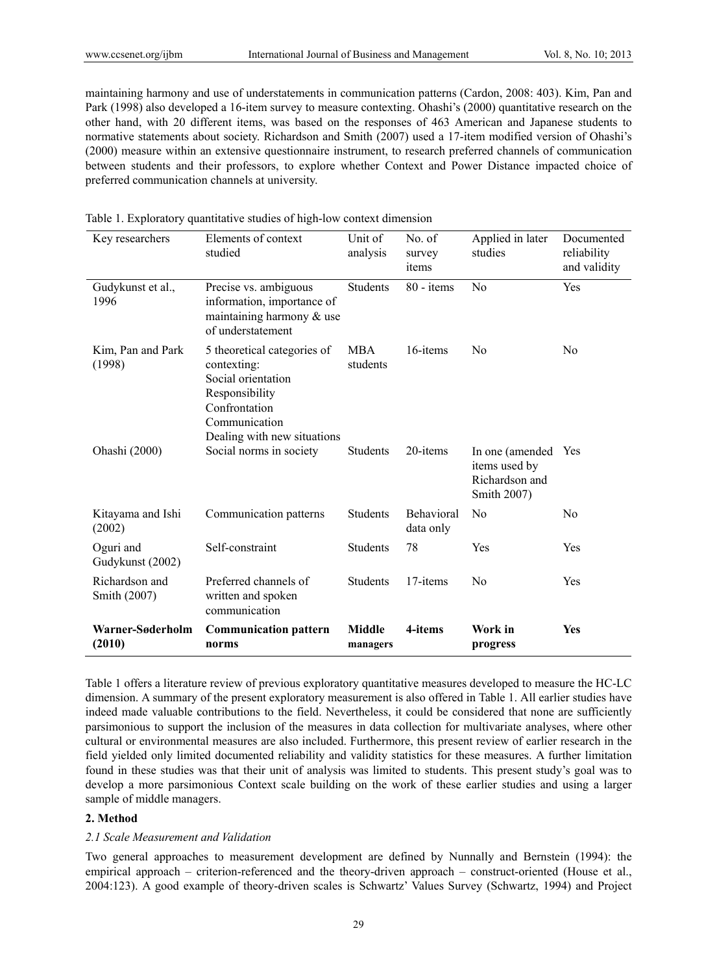maintaining harmony and use of understatements in communication patterns (Cardon, 2008: 403). Kim, Pan and Park (1998) also developed a 16-item survey to measure contexting. Ohashi's (2000) quantitative research on the other hand, with 20 different items, was based on the responses of 463 American and Japanese students to normative statements about society. Richardson and Smith (2007) used a 17-item modified version of Ohashi's (2000) measure within an extensive questionnaire instrument, to research preferred channels of communication between students and their professors, to explore whether Context and Power Distance impacted choice of preferred communication channels at university.

| Key researchers                | Elements of context<br>studied                                                                                                                      | Unit of<br>analysis       | No. of<br>survey<br>items | Applied in later<br>studies                                       | Documented<br>reliability<br>and validity |
|--------------------------------|-----------------------------------------------------------------------------------------------------------------------------------------------------|---------------------------|---------------------------|-------------------------------------------------------------------|-------------------------------------------|
| Gudykunst et al.,<br>1996      | Precise vs. ambiguous<br>information, importance of<br>maintaining harmony & use<br>of understatement                                               | <b>Students</b>           | $80 - items$              | No                                                                | Yes                                       |
| Kim, Pan and Park<br>(1998)    | 5 theoretical categories of<br>contexting:<br>Social orientation<br>Responsibility<br>Confrontation<br>Communication<br>Dealing with new situations | <b>MBA</b><br>students    | 16-items                  | N <sub>0</sub>                                                    | N <sub>0</sub>                            |
| Ohashi (2000)                  | Social norms in society                                                                                                                             | <b>Students</b>           | 20-items                  | In one (amended<br>items used by<br>Richardson and<br>Smith 2007) | Yes                                       |
| Kitayama and Ishi<br>(2002)    | Communication patterns                                                                                                                              | <b>Students</b>           | Behavioral<br>data only   | N <sub>0</sub>                                                    | N <sub>0</sub>                            |
| Oguri and<br>Gudykunst (2002)  | Self-constraint                                                                                                                                     | Students                  | 78                        | Yes                                                               | Yes                                       |
| Richardson and<br>Smith (2007) | Preferred channels of<br>written and spoken<br>communication                                                                                        | <b>Students</b>           | 17-items                  | N <sub>0</sub>                                                    | Yes                                       |
| Warner-Søderholm<br>(2010)     | <b>Communication pattern</b><br>norms                                                                                                               | <b>Middle</b><br>managers | 4-items                   | Work in<br>progress                                               | <b>Yes</b>                                |

Table 1. Exploratory quantitative studies of high-low context dimension

Table 1 offers a literature review of previous exploratory quantitative measures developed to measure the HC-LC dimension. A summary of the present exploratory measurement is also offered in Table 1. All earlier studies have indeed made valuable contributions to the field. Nevertheless, it could be considered that none are sufficiently parsimonious to support the inclusion of the measures in data collection for multivariate analyses, where other cultural or environmental measures are also included. Furthermore, this present review of earlier research in the field yielded only limited documented reliability and validity statistics for these measures. A further limitation found in these studies was that their unit of analysis was limited to students. This present study's goal was to develop a more parsimonious Context scale building on the work of these earlier studies and using a larger sample of middle managers.

## **2. Method**

## *2.1 Scale Measurement and Validation*

Two general approaches to measurement development are defined by Nunnally and Bernstein (1994): the empirical approach – criterion-referenced and the theory-driven approach – construct-oriented (House et al., 2004:123). A good example of theory-driven scales is Schwartz' Values Survey (Schwartz, 1994) and Project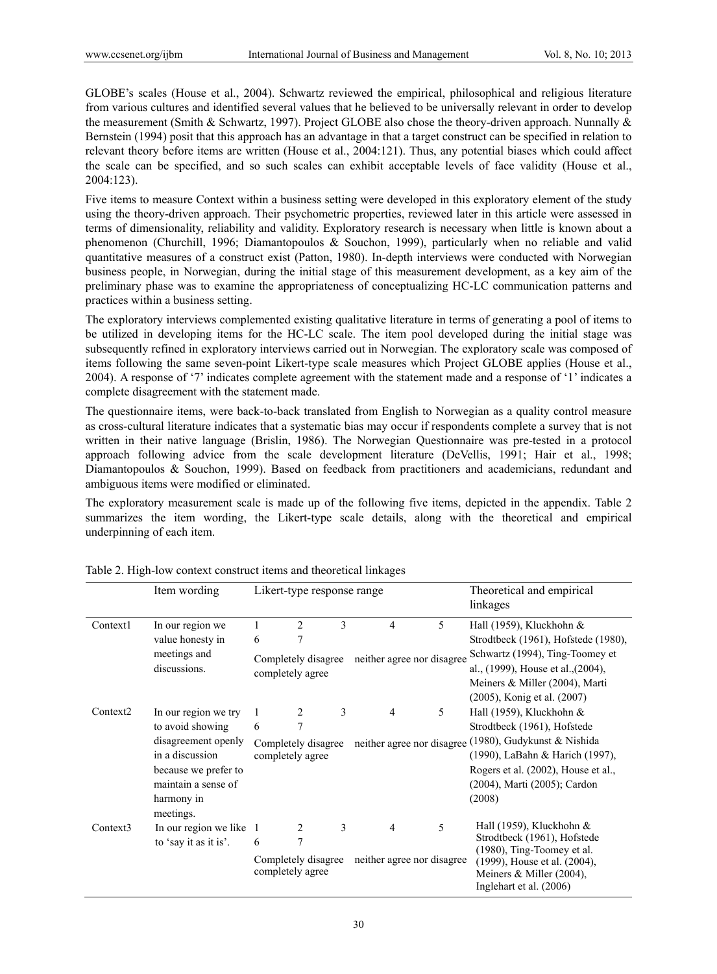GLOBE's scales (House et al., 2004). Schwartz reviewed the empirical, philosophical and religious literature from various cultures and identified several values that he believed to be universally relevant in order to develop the measurement (Smith & Schwartz, 1997). Project GLOBE also chose the theory-driven approach. Nunnally & Bernstein (1994) posit that this approach has an advantage in that a target construct can be specified in relation to relevant theory before items are written (House et al., 2004:121). Thus, any potential biases which could affect the scale can be specified, and so such scales can exhibit acceptable levels of face validity (House et al., 2004:123).

Five items to measure Context within a business setting were developed in this exploratory element of the study using the theory-driven approach. Their psychometric properties, reviewed later in this article were assessed in terms of dimensionality, reliability and validity. Exploratory research is necessary when little is known about a phenomenon (Churchill, 1996; Diamantopoulos & Souchon, 1999), particularly when no reliable and valid quantitative measures of a construct exist (Patton, 1980). In-depth interviews were conducted with Norwegian business people, in Norwegian, during the initial stage of this measurement development, as a key aim of the preliminary phase was to examine the appropriateness of conceptualizing HC-LC communication patterns and practices within a business setting.

The exploratory interviews complemented existing qualitative literature in terms of generating a pool of items to be utilized in developing items for the HC-LC scale. The item pool developed during the initial stage was subsequently refined in exploratory interviews carried out in Norwegian. The exploratory scale was composed of items following the same seven-point Likert-type scale measures which Project GLOBE applies (House et al., 2004). A response of '7' indicates complete agreement with the statement made and a response of '1' indicates a complete disagreement with the statement made.

The questionnaire items, were back-to-back translated from English to Norwegian as a quality control measure as cross-cultural literature indicates that a systematic bias may occur if respondents complete a survey that is not written in their native language (Brislin, 1986). The Norwegian Questionnaire was pre-tested in a protocol approach following advice from the scale development literature (DeVellis, 1991; Hair et al., 1998; Diamantopoulos & Souchon, 1999). Based on feedback from practitioners and academicians, redundant and ambiguous items were modified or eliminated.

The exploratory measurement scale is made up of the following five items, depicted in the appendix. Table 2 summarizes the item wording, the Likert-type scale details, along with the theoretical and empirical underpinning of each item.

|                      | Item wording                                               | Likert-type response range              |                                         |   |                            |                                 | Theoretical and empirical<br>linkages                                               |  |  |
|----------------------|------------------------------------------------------------|-----------------------------------------|-----------------------------------------|---|----------------------------|---------------------------------|-------------------------------------------------------------------------------------|--|--|
| Context1             | In our region we                                           | 1                                       | $\overline{c}$                          | 3 | $\overline{4}$             | 5                               | Hall (1959), Kluckhohn &                                                            |  |  |
|                      | value honesty in                                           | 6                                       | 7                                       |   |                            |                                 | Strodtbeck (1961), Hofstede (1980),                                                 |  |  |
|                      | meetings and                                               | Completely disagree<br>completely agree |                                         |   | neither agree nor disagree |                                 | Schwartz (1994), Ting-Toomey et                                                     |  |  |
|                      | discussions.                                               |                                         |                                         |   |                            |                                 | al., (1999), House et al., (2004),                                                  |  |  |
|                      |                                                            |                                         |                                         |   |                            |                                 | Meiners & Miller (2004), Marti                                                      |  |  |
|                      |                                                            |                                         |                                         |   |                            |                                 | (2005), Konig et al. (2007)                                                         |  |  |
| Context <sub>2</sub> | In our region we try                                       |                                         | 2                                       | 3 | $\overline{4}$             | 5                               | Hall (1959), Kluckhohn $\&$                                                         |  |  |
|                      | to avoid showing<br>disagreement openly<br>in a discussion | 6                                       | 7                                       |   |                            |                                 | Strodtbeck (1961), Hofstede                                                         |  |  |
|                      |                                                            | Completely disagree                     |                                         |   |                            |                                 | neither agree nor disagree (1980), Gudykunst & Nishida                              |  |  |
|                      |                                                            | completely agree                        |                                         |   |                            | (1990), LaBahn & Harich (1997), |                                                                                     |  |  |
|                      | because we prefer to                                       |                                         |                                         |   |                            |                                 | Rogers et al. (2002), House et al.,                                                 |  |  |
|                      | maintain a sense of<br>harmony in                          |                                         |                                         |   |                            |                                 | (2004), Marti (2005); Cardon                                                        |  |  |
|                      |                                                            |                                         |                                         |   |                            |                                 | (2008)                                                                              |  |  |
|                      | meetings.                                                  |                                         |                                         |   |                            |                                 |                                                                                     |  |  |
| Context3             | In our region we like 1<br>to 'say it as it is'.           |                                         | 2                                       | 3 | $\overline{4}$             | 5                               | Hall (1959), Kluckhohn $\&$                                                         |  |  |
|                      |                                                            | 6                                       | 7                                       |   |                            |                                 | Strodtbeck (1961), Hofstede<br>(1980), Ting-Toomey et al.                           |  |  |
|                      |                                                            |                                         | Completely disagree<br>completely agree |   | neither agree nor disagree |                                 | (1999), House et al. (2004),<br>Meiners & Miller (2004),<br>Inglehart et al. (2006) |  |  |

Table 2. High-low context construct items and theoretical linkages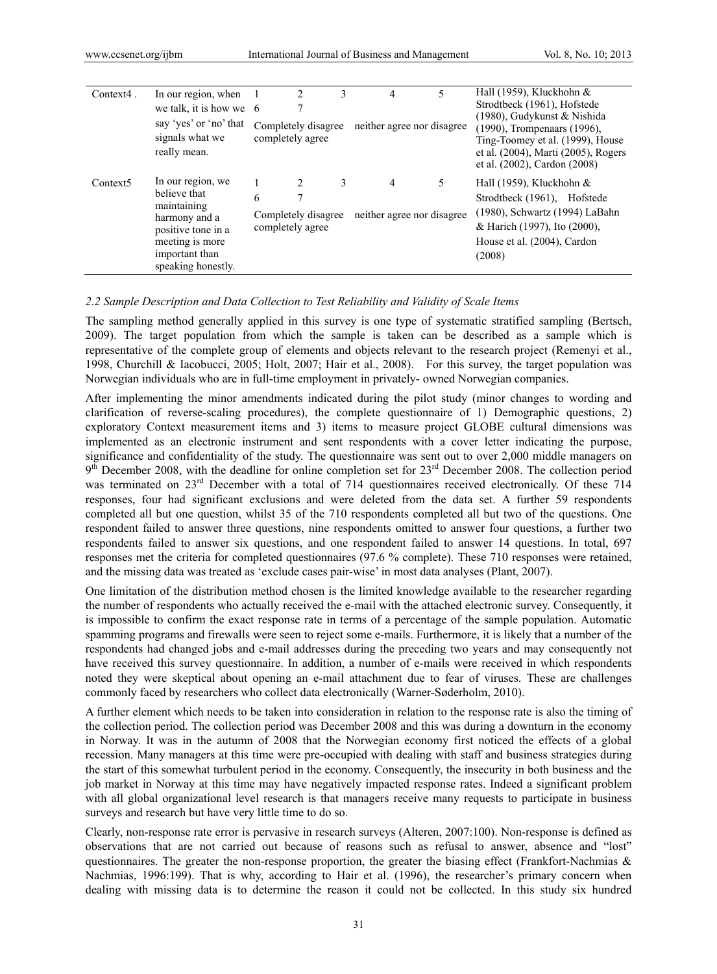| $Context4$ .         | In our region, when<br>we talk, it is how we $\,6$<br>say 'yes' or 'no' that<br>signals what we<br>really mean.                                    |   | 2<br>Completely disagree<br>completely agree | 3 | 4<br>neither agree nor disagree | 5  | Hall (1959), Kluckhohn $\&$<br>Strodtbeck (1961), Hofstede<br>(1980), Gudykunst & Nishida<br>(1990), Trompenaars (1996),<br>Ting-Toomey et al. (1999), House<br>et al. (2004), Marti (2005), Rogers<br>et al. (2002), Cardon (2008) |
|----------------------|----------------------------------------------------------------------------------------------------------------------------------------------------|---|----------------------------------------------|---|---------------------------------|----|-------------------------------------------------------------------------------------------------------------------------------------------------------------------------------------------------------------------------------------|
| Context <sub>5</sub> | In our region, we<br>believe that<br>maintaining<br>harmony and a<br>positive tone in a<br>meeting is more<br>important than<br>speaking honestly. | 6 | Completely disagree<br>completely agree      | 3 | 4<br>neither agree nor disagree | 5. | Hall (1959), Kluckhohn $\&$<br>Strodtbeck (1961), Hofstede<br>(1980), Schwartz (1994) LaBahn<br>& Harich (1997), Ito (2000),<br>House et al. (2004), Cardon<br>(2008)                                                               |

#### *2.2 Sample Description and Data Collection to Test Reliability and Validity of Scale Items*

The sampling method generally applied in this survey is one type of systematic stratified sampling (Bertsch, 2009). The target population from which the sample is taken can be described as a sample which is representative of the complete group of elements and objects relevant to the research project (Remenyi et al., 1998, Churchill & Iacobucci, 2005; Holt, 2007; Hair et al., 2008). For this survey, the target population was Norwegian individuals who are in full-time employment in privately- owned Norwegian companies.

After implementing the minor amendments indicated during the pilot study (minor changes to wording and clarification of reverse-scaling procedures), the complete questionnaire of 1) Demographic questions, 2) exploratory Context measurement items and 3) items to measure project GLOBE cultural dimensions was implemented as an electronic instrument and sent respondents with a cover letter indicating the purpose, significance and confidentiality of the study. The questionnaire was sent out to over 2,000 middle managers on  $9<sup>th</sup>$  December 2008, with the deadline for online completion set for  $23<sup>rd</sup>$  December 2008. The collection period was terminated on 23<sup>rd</sup> December with a total of 714 questionnaires received electronically. Of these 714 responses, four had significant exclusions and were deleted from the data set. A further 59 respondents completed all but one question, whilst 35 of the 710 respondents completed all but two of the questions. One respondent failed to answer three questions, nine respondents omitted to answer four questions, a further two respondents failed to answer six questions, and one respondent failed to answer 14 questions. In total, 697 responses met the criteria for completed questionnaires (97.6 % complete). These 710 responses were retained, and the missing data was treated as 'exclude cases pair-wise' in most data analyses (Plant, 2007).

One limitation of the distribution method chosen is the limited knowledge available to the researcher regarding the number of respondents who actually received the e-mail with the attached electronic survey. Consequently, it is impossible to confirm the exact response rate in terms of a percentage of the sample population. Automatic spamming programs and firewalls were seen to reject some e-mails. Furthermore, it is likely that a number of the respondents had changed jobs and e-mail addresses during the preceding two years and may consequently not have received this survey questionnaire. In addition, a number of e-mails were received in which respondents noted they were skeptical about opening an e-mail attachment due to fear of viruses. These are challenges commonly faced by researchers who collect data electronically (Warner-Søderholm, 2010).

A further element which needs to be taken into consideration in relation to the response rate is also the timing of the collection period. The collection period was December 2008 and this was during a downturn in the economy in Norway. It was in the autumn of 2008 that the Norwegian economy first noticed the effects of a global recession. Many managers at this time were pre-occupied with dealing with staff and business strategies during the start of this somewhat turbulent period in the economy. Consequently, the insecurity in both business and the job market in Norway at this time may have negatively impacted response rates. Indeed a significant problem with all global organizational level research is that managers receive many requests to participate in business surveys and research but have very little time to do so.

Clearly, non-response rate error is pervasive in research surveys (Alteren, 2007:100). Non-response is defined as observations that are not carried out because of reasons such as refusal to answer, absence and "lost" questionnaires. The greater the non-response proportion, the greater the biasing effect (Frankfort-Nachmias  $\&$ Nachmias, 1996:199). That is why, according to Hair et al. (1996), the researcher's primary concern when dealing with missing data is to determine the reason it could not be collected. In this study six hundred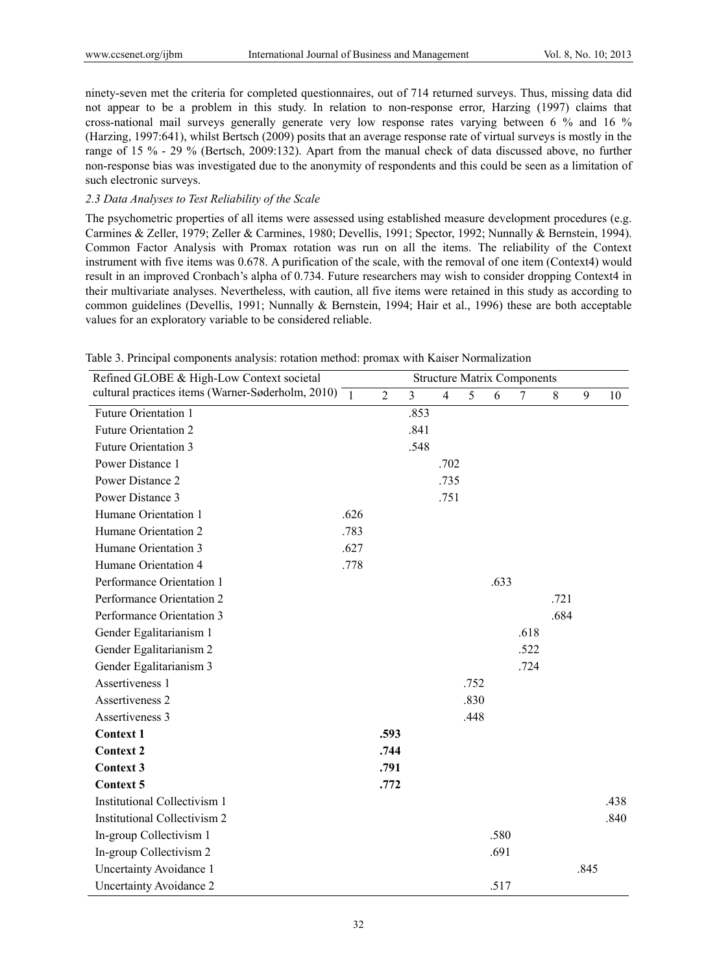ninety-seven met the criteria for completed questionnaires, out of 714 returned surveys. Thus, missing data did not appear to be a problem in this study. In relation to non-response error, Harzing (1997) claims that cross-national mail surveys generally generate very low response rates varying between 6 % and 16 % (Harzing, 1997:641), whilst Bertsch (2009) posits that an average response rate of virtual surveys is mostly in the range of 15 % - 29 % (Bertsch, 2009:132). Apart from the manual check of data discussed above, no further non-response bias was investigated due to the anonymity of respondents and this could be seen as a limitation of such electronic surveys.

# *2.3 Data Analyses to Test Reliability of the Scale*

The psychometric properties of all items were assessed using established measure development procedures (e.g. Carmines & Zeller, 1979; Zeller & Carmines, 1980; Devellis, 1991; Spector, 1992; Nunnally & Bernstein, 1994). Common Factor Analysis with Promax rotation was run on all the items. The reliability of the Context instrument with five items was 0.678. A purification of the scale, with the removal of one item (Context4) would result in an improved Cronbach's alpha of 0.734. Future researchers may wish to consider dropping Context4 in their multivariate analyses. Nevertheless, with caution, all five items were retained in this study as according to common guidelines (Devellis, 1991; Nunnally & Bernstein, 1994; Hair et al., 1996) these are both acceptable values for an exploratory variable to be considered reliable.

| Refined GLOBE & High-Low Context societal                       |      |                |                |                |      |      | <b>Structure Matrix Components</b> |      |      |      |
|-----------------------------------------------------------------|------|----------------|----------------|----------------|------|------|------------------------------------|------|------|------|
| cultural practices items (Warner-Søderholm, 2010) $\frac{1}{1}$ |      | $\overline{2}$ | $\overline{3}$ | $\overline{4}$ | 5    | 6    | $\overline{7}$                     | 8    | 9    | 10   |
| <b>Future Orientation 1</b>                                     |      |                | .853           |                |      |      |                                    |      |      |      |
| <b>Future Orientation 2</b>                                     |      |                | .841           |                |      |      |                                    |      |      |      |
| <b>Future Orientation 3</b>                                     |      |                | .548           |                |      |      |                                    |      |      |      |
| Power Distance 1                                                |      |                |                | .702           |      |      |                                    |      |      |      |
| Power Distance 2                                                |      |                |                | .735           |      |      |                                    |      |      |      |
| Power Distance 3                                                |      |                |                | .751           |      |      |                                    |      |      |      |
| Humane Orientation 1                                            | .626 |                |                |                |      |      |                                    |      |      |      |
| Humane Orientation 2                                            | .783 |                |                |                |      |      |                                    |      |      |      |
| Humane Orientation 3                                            | .627 |                |                |                |      |      |                                    |      |      |      |
| Humane Orientation 4                                            | .778 |                |                |                |      |      |                                    |      |      |      |
| Performance Orientation 1                                       |      |                |                |                |      | .633 |                                    |      |      |      |
| Performance Orientation 2                                       |      |                |                |                |      |      |                                    | .721 |      |      |
| Performance Orientation 3                                       |      |                |                |                |      |      |                                    | .684 |      |      |
| Gender Egalitarianism 1                                         |      |                |                |                |      |      | .618                               |      |      |      |
| Gender Egalitarianism 2                                         |      |                |                |                |      |      | .522                               |      |      |      |
| Gender Egalitarianism 3                                         |      |                |                |                |      |      | .724                               |      |      |      |
| Assertiveness 1                                                 |      |                |                |                | .752 |      |                                    |      |      |      |
| Assertiveness 2                                                 |      |                |                |                | .830 |      |                                    |      |      |      |
| Assertiveness 3                                                 |      |                |                |                | .448 |      |                                    |      |      |      |
| <b>Context 1</b>                                                |      | .593           |                |                |      |      |                                    |      |      |      |
| <b>Context 2</b>                                                |      | .744           |                |                |      |      |                                    |      |      |      |
| <b>Context 3</b>                                                |      | .791           |                |                |      |      |                                    |      |      |      |
| <b>Context 5</b>                                                |      | .772           |                |                |      |      |                                    |      |      |      |
| <b>Institutional Collectivism 1</b>                             |      |                |                |                |      |      |                                    |      |      | .438 |
| <b>Institutional Collectivism 2</b>                             |      |                |                |                |      |      |                                    |      |      | .840 |
| In-group Collectivism 1                                         |      |                |                |                |      | .580 |                                    |      |      |      |
| In-group Collectivism 2                                         |      |                |                |                |      | .691 |                                    |      |      |      |
| <b>Uncertainty Avoidance 1</b>                                  |      |                |                |                |      |      |                                    |      | .845 |      |
| <b>Uncertainty Avoidance 2</b>                                  |      |                |                |                |      | .517 |                                    |      |      |      |

Table 3. Principal components analysis: rotation method: promax with Kaiser Normalization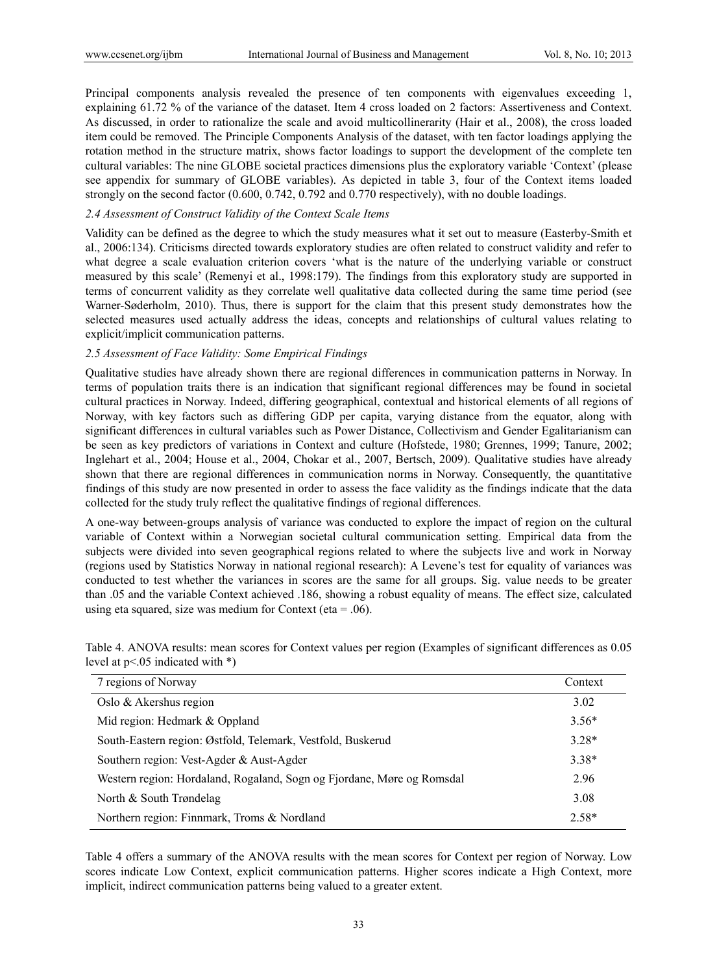Principal components analysis revealed the presence of ten components with eigenvalues exceeding 1, explaining 61.72 % of the variance of the dataset. Item 4 cross loaded on 2 factors: Assertiveness and Context. As discussed, in order to rationalize the scale and avoid multicollinerarity (Hair et al., 2008), the cross loaded item could be removed. The Principle Components Analysis of the dataset, with ten factor loadings applying the rotation method in the structure matrix, shows factor loadings to support the development of the complete ten cultural variables: The nine GLOBE societal practices dimensions plus the exploratory variable 'Context' (please see appendix for summary of GLOBE variables). As depicted in table 3, four of the Context items loaded strongly on the second factor (0.600, 0.742, 0.792 and 0.770 respectively), with no double loadings.

# *2.4 Assessment of Construct Validity of the Context Scale Items*

Validity can be defined as the degree to which the study measures what it set out to measure (Easterby-Smith et al., 2006:134). Criticisms directed towards exploratory studies are often related to construct validity and refer to what degree a scale evaluation criterion covers 'what is the nature of the underlying variable or construct measured by this scale' (Remenyi et al., 1998:179). The findings from this exploratory study are supported in terms of concurrent validity as they correlate well qualitative data collected during the same time period (see Warner-Søderholm, 2010). Thus, there is support for the claim that this present study demonstrates how the selected measures used actually address the ideas, concepts and relationships of cultural values relating to explicit/implicit communication patterns.

#### *2.5 Assessment of Face Validity: Some Empirical Findings*

Qualitative studies have already shown there are regional differences in communication patterns in Norway. In terms of population traits there is an indication that significant regional differences may be found in societal cultural practices in Norway. Indeed, differing geographical, contextual and historical elements of all regions of Norway, with key factors such as differing GDP per capita, varying distance from the equator, along with significant differences in cultural variables such as Power Distance, Collectivism and Gender Egalitarianism can be seen as key predictors of variations in Context and culture (Hofstede, 1980; Grennes, 1999; Tanure, 2002; Inglehart et al., 2004; House et al., 2004, Chokar et al., 2007, Bertsch, 2009). Qualitative studies have already shown that there are regional differences in communication norms in Norway. Consequently, the quantitative findings of this study are now presented in order to assess the face validity as the findings indicate that the data collected for the study truly reflect the qualitative findings of regional differences.

A one-way between-groups analysis of variance was conducted to explore the impact of region on the cultural variable of Context within a Norwegian societal cultural communication setting. Empirical data from the subjects were divided into seven geographical regions related to where the subjects live and work in Norway (regions used by Statistics Norway in national regional research): A Levene's test for equality of variances was conducted to test whether the variances in scores are the same for all groups. Sig. value needs to be greater than .05 and the variable Context achieved .186, showing a robust equality of means. The effect size, calculated using eta squared, size was medium for Context (eta  $= .06$ ).

| 7 regions of Norway                                                    | Context |
|------------------------------------------------------------------------|---------|
| Oslo $&$ Akershus region                                               | 3.02    |
| Mid region: Hedmark & Oppland                                          | $3.56*$ |
| South-Eastern region: Østfold, Telemark, Vestfold, Buskerud            | $3.28*$ |
| Southern region: Vest-Agder & Aust-Agder                               | $3.38*$ |
| Western region: Hordaland, Rogaland, Sogn og Fjordane, Møre og Romsdal | 2.96    |
| North & South Trøndelag                                                | 3.08    |
| Northern region: Finnmark, Troms & Nordland                            | $2.58*$ |

Table 4. ANOVA results: mean scores for Context values per region (Examples of significant differences as 0.05 level at p<.05 indicated with \*)

Table 4 offers a summary of the ANOVA results with the mean scores for Context per region of Norway. Low scores indicate Low Context, explicit communication patterns. Higher scores indicate a High Context, more implicit, indirect communication patterns being valued to a greater extent.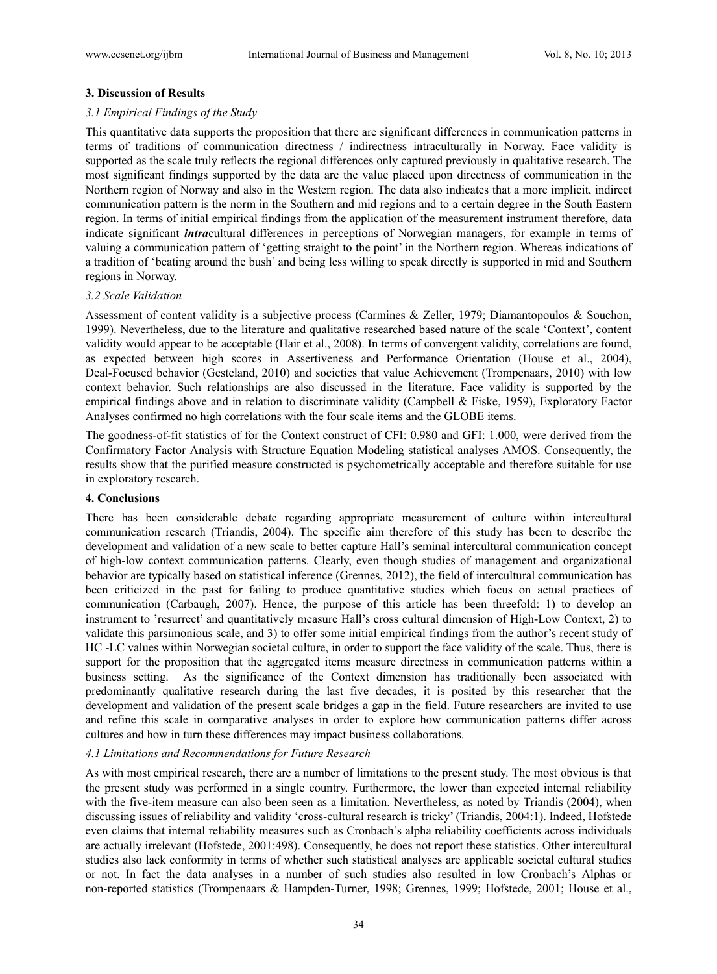#### **3. Discussion of Results**

#### *3.1 Empirical Findings of the Study*

This quantitative data supports the proposition that there are significant differences in communication patterns in terms of traditions of communication directness / indirectness intraculturally in Norway. Face validity is supported as the scale truly reflects the regional differences only captured previously in qualitative research. The most significant findings supported by the data are the value placed upon directness of communication in the Northern region of Norway and also in the Western region. The data also indicates that a more implicit, indirect communication pattern is the norm in the Southern and mid regions and to a certain degree in the South Eastern region. In terms of initial empirical findings from the application of the measurement instrument therefore, data indicate significant *intra*cultural differences in perceptions of Norwegian managers, for example in terms of valuing a communication pattern of 'getting straight to the point' in the Northern region. Whereas indications of a tradition of 'beating around the bush' and being less willing to speak directly is supported in mid and Southern regions in Norway.

#### *3.2 Scale Validation*

Assessment of content validity is a subjective process (Carmines & Zeller, 1979; Diamantopoulos & Souchon, 1999). Nevertheless, due to the literature and qualitative researched based nature of the scale 'Context', content validity would appear to be acceptable (Hair et al., 2008). In terms of convergent validity, correlations are found, as expected between high scores in Assertiveness and Performance Orientation (House et al., 2004), Deal-Focused behavior (Gesteland, 2010) and societies that value Achievement (Trompenaars, 2010) with low context behavior. Such relationships are also discussed in the literature. Face validity is supported by the empirical findings above and in relation to discriminate validity (Campbell & Fiske, 1959), Exploratory Factor Analyses confirmed no high correlations with the four scale items and the GLOBE items.

The goodness-of-fit statistics of for the Context construct of CFI: 0.980 and GFI: 1.000, were derived from the Confirmatory Factor Analysis with Structure Equation Modeling statistical analyses AMOS. Consequently, the results show that the purified measure constructed is psychometrically acceptable and therefore suitable for use in exploratory research.

#### **4. Conclusions**

There has been considerable debate regarding appropriate measurement of culture within intercultural communication research (Triandis, 2004). The specific aim therefore of this study has been to describe the development and validation of a new scale to better capture Hall's seminal intercultural communication concept of high-low context communication patterns. Clearly, even though studies of management and organizational behavior are typically based on statistical inference (Grennes, 2012), the field of intercultural communication has been criticized in the past for failing to produce quantitative studies which focus on actual practices of communication (Carbaugh, 2007). Hence, the purpose of this article has been threefold: 1) to develop an instrument to 'resurrect' and quantitatively measure Hall's cross cultural dimension of High-Low Context, 2) to validate this parsimonious scale, and 3) to offer some initial empirical findings from the author's recent study of HC -LC values within Norwegian societal culture, in order to support the face validity of the scale. Thus, there is support for the proposition that the aggregated items measure directness in communication patterns within a business setting. As the significance of the Context dimension has traditionally been associated with predominantly qualitative research during the last five decades, it is posited by this researcher that the development and validation of the present scale bridges a gap in the field. Future researchers are invited to use and refine this scale in comparative analyses in order to explore how communication patterns differ across cultures and how in turn these differences may impact business collaborations.

#### *4.1 Limitations and Recommendations for Future Research*

As with most empirical research, there are a number of limitations to the present study. The most obvious is that the present study was performed in a single country. Furthermore, the lower than expected internal reliability with the five-item measure can also been seen as a limitation. Nevertheless, as noted by Triandis (2004), when discussing issues of reliability and validity 'cross-cultural research is tricky' (Triandis, 2004:1). Indeed, Hofstede even claims that internal reliability measures such as Cronbach's alpha reliability coefficients across individuals are actually irrelevant (Hofstede, 2001:498). Consequently, he does not report these statistics. Other intercultural studies also lack conformity in terms of whether such statistical analyses are applicable societal cultural studies or not. In fact the data analyses in a number of such studies also resulted in low Cronbach's Alphas or non-reported statistics (Trompenaars & Hampden-Turner, 1998; Grennes, 1999; Hofstede, 2001; House et al.,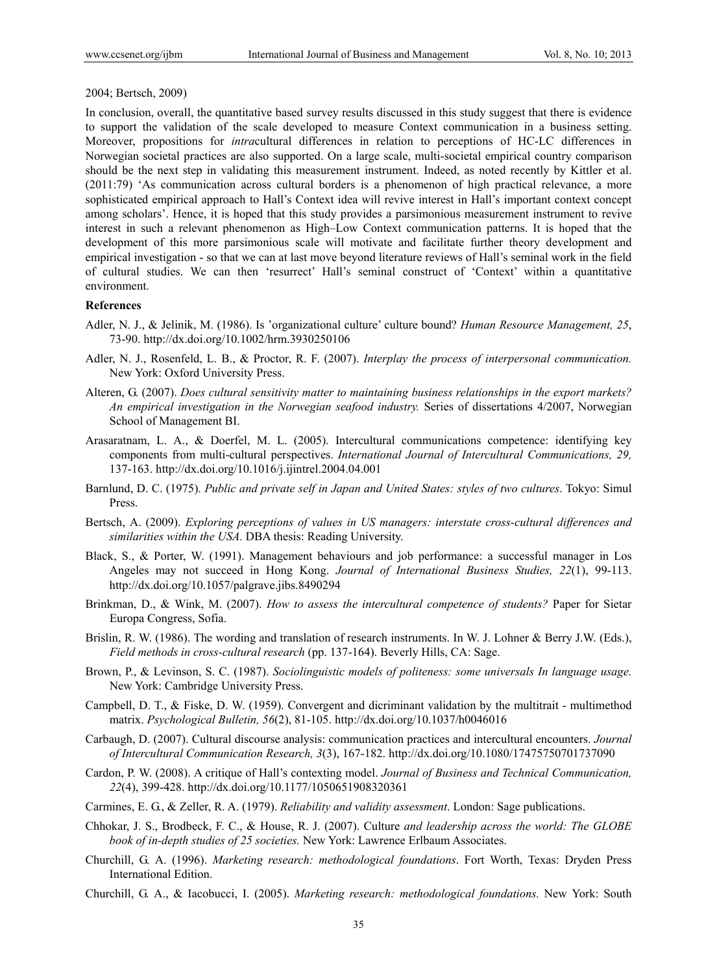#### 2004; Bertsch, 2009)

In conclusion, overall, the quantitative based survey results discussed in this study suggest that there is evidence to support the validation of the scale developed to measure Context communication in a business setting. Moreover, propositions for *intra*cultural differences in relation to perceptions of HC-LC differences in Norwegian societal practices are also supported. On a large scale, multi-societal empirical country comparison should be the next step in validating this measurement instrument. Indeed, as noted recently by Kittler et al. (2011:79) 'As communication across cultural borders is a phenomenon of high practical relevance, a more sophisticated empirical approach to Hall's Context idea will revive interest in Hall's important context concept among scholars'. Hence, it is hoped that this study provides a parsimonious measurement instrument to revive interest in such a relevant phenomenon as High–Low Context communication patterns. It is hoped that the development of this more parsimonious scale will motivate and facilitate further theory development and empirical investigation - so that we can at last move beyond literature reviews of Hall's seminal work in the field of cultural studies. We can then 'resurrect' Hall's seminal construct of 'Context' within a quantitative environment.

## **References**

- Adler, N. J., & Jelinik, M. (1986). Is 'organizational culture' culture bound? *Human Resource Management, 25*, 73-90. http://dx.doi.org/10.1002/hrm.3930250106
- Adler, N. J., Rosenfeld, L. B., & Proctor, R. F. (2007). *Interplay the process of interpersonal communication.*  New York: Oxford University Press.
- Alteren, G. (2007). *Does cultural sensitivity matter to maintaining business relationships in the export markets? An empirical investigation in the Norwegian seafood industry.* Series of dissertations 4/2007, Norwegian School of Management BI.
- Arasaratnam, L. A., & Doerfel, M. L. (2005). Intercultural communications competence: identifying key components from multi-cultural perspectives. *International Journal of Intercultural Communications, 29,* 137-163. http://dx.doi.org/10.1016/j.ijintrel.2004.04.001
- Barnlund, D. C. (1975). *Public and private self in Japan and United States: styles of two cultures*. Tokyo: Simul Press.
- Bertsch, A. (2009). *Exploring perceptions of values in US managers: interstate cross-cultural differences and similarities within the USA.* DBA thesis: Reading University.
- Black, S., & Porter, W. (1991). Management behaviours and job performance: a successful manager in Los Angeles may not succeed in Hong Kong. *Journal of International Business Studies, 22*(1), 99-113. http://dx.doi.org/10.1057/palgrave.jibs.8490294
- Brinkman, D., & Wink, M. (2007). *How to assess the intercultural competence of students?* Paper for Sietar Europa Congress, Sofia.
- Brislin, R. W. (1986). The wording and translation of research instruments. In W. J. Lohner & Berry J.W. (Eds.), *Field methods in cross-cultural research* (pp. 137-164). Beverly Hills, CA: Sage.
- Brown, P., & Levinson, S. C. (1987). *Sociolinguistic models of politeness: some universals In language usage.*  New York: Cambridge University Press.
- Campbell, D. T., & Fiske, D. W. (1959). Convergent and dicriminant validation by the multitrait multimethod matrix. *Psychological Bulletin, 56*(2), 81-105. http://dx.doi.org/10.1037/h0046016
- Carbaugh, D. (2007). Cultural discourse analysis: communication practices and intercultural encounters. *Journal of Intercultural Communication Research, 3*(3), 167-182. http://dx.doi.org/10.1080/17475750701737090
- Cardon, P. W. (2008). A critique of Hall's contexting model. *Journal of Business and Technical Communication, 22*(4), 399-428. http://dx.doi.org/10.1177/1050651908320361
- Carmines, E. G., & Zeller, R. A. (1979). *Reliability and validity assessment*. London: Sage publications.
- Chhokar, J. S., Brodbeck, F. C., & House, R. J. (2007). Culture *and leadership across the world: The GLOBE book of in-depth studies of 25 societies.* New York: Lawrence Erlbaum Associates.
- Churchill, G. A. (1996). *Marketing research: methodological foundations*. Fort Worth, Texas: Dryden Press International Edition.
- Churchill, G. A., & Iacobucci, I. (2005). *Marketing research: methodological foundations.* New York: South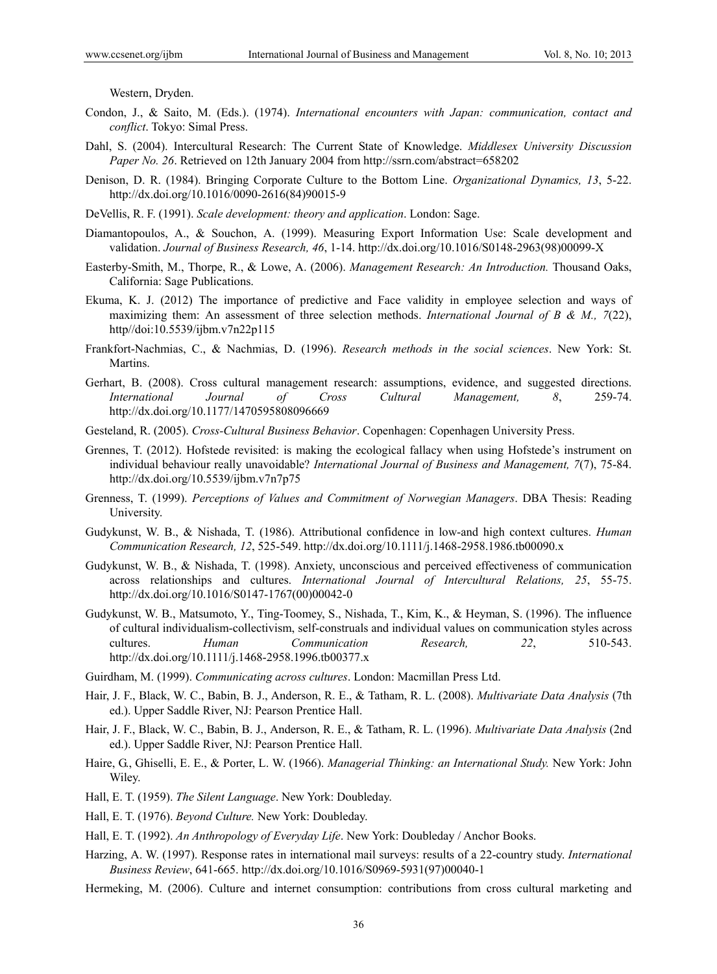Western, Dryden.

- Condon, J., & Saito, M. (Eds.). (1974). *International encounters with Japan: communication, contact and conflict*. Tokyo: Simal Press.
- Dahl, S. (2004). Intercultural Research: The Current State of Knowledge. *Middlesex University Discussion Paper No. 26*. Retrieved on 12th January 2004 from http://ssrn.com/abstract=658202
- Denison, D. R. (1984). Bringing Corporate Culture to the Bottom Line. *Organizational Dynamics, 13*, 5-22. http://dx.doi.org/10.1016/0090-2616(84)90015-9
- DeVellis, R. F. (1991). *Scale development: theory and application*. London: Sage.
- Diamantopoulos, A., & Souchon, A. (1999). Measuring Export Information Use: Scale development and validation. *Journal of Business Research, 46*, 1-14. http://dx.doi.org/10.1016/S0148-2963(98)00099-X
- Easterby-Smith, M., Thorpe, R., & Lowe, A. (2006). *Management Research: An Introduction.* Thousand Oaks, California: Sage Publications.
- Ekuma, K. J. (2012) The importance of predictive and Face validity in employee selection and ways of maximizing them: An assessment of three selection methods. *International Journal of B & M., 7*(22), http//doi:10.5539/ijbm.v7n22p115
- Frankfort-Nachmias, C., & Nachmias, D. (1996). *Research methods in the social sciences*. New York: St. Martins.
- Gerhart, B. (2008). Cross cultural management research: assumptions, evidence, and suggested directions. *International Journal of Cross Cultural Management, 8*, 259-74. http://dx.doi.org/10.1177/1470595808096669
- Gesteland, R. (2005). *Cross-Cultural Business Behavior*. Copenhagen: Copenhagen University Press.
- Grennes, T. (2012). Hofstede revisited: is making the ecological fallacy when using Hofstede's instrument on individual behaviour really unavoidable? *International Journal of Business and Management, 7*(7), 75-84. http://dx.doi.org/10.5539/ijbm.v7n7p75
- Grenness, T. (1999). *Perceptions of Values and Commitment of Norwegian Managers*. DBA Thesis: Reading University.
- Gudykunst, W. B., & Nishada, T. (1986). Attributional confidence in low-and high context cultures. *Human Communication Research, 12*, 525-549. http://dx.doi.org/10.1111/j.1468-2958.1986.tb00090.x
- Gudykunst, W. B., & Nishada, T. (1998). Anxiety, unconscious and perceived effectiveness of communication across relationships and cultures. *International Journal of Intercultural Relations, 25*, 55-75. http://dx.doi.org/10.1016/S0147-1767(00)00042-0
- Gudykunst, W. B., Matsumoto, Y., Ting-Toomey, S., Nishada, T., Kim, K., & Heyman, S. (1996). The influence of cultural individualism-collectivism, self-construals and individual values on communication styles across cultures. *Human Communication Research, 22*, 510-543. http://dx.doi.org/10.1111/j.1468-2958.1996.tb00377.x
- Guirdham, M. (1999). *Communicating across cultures*. London: Macmillan Press Ltd.
- Hair, J. F., Black, W. C., Babin, B. J., Anderson, R. E., & Tatham, R. L. (2008). *Multivariate Data Analysis* (7th ed.). Upper Saddle River, NJ: Pearson Prentice Hall.
- Hair, J. F., Black, W. C., Babin, B. J., Anderson, R. E., & Tatham, R. L. (1996). *Multivariate Data Analysis* (2nd ed.). Upper Saddle River, NJ: Pearson Prentice Hall.
- Haire, G., Ghiselli, E. E., & Porter, L. W. (1966). *Managerial Thinking: an International Study.* New York: John Wiley.
- Hall, E. T. (1959). *The Silent Language*. New York: Doubleday.
- Hall, E. T. (1976). *Beyond Culture.* New York: Doubleday.
- Hall, E. T. (1992). *An Anthropology of Everyday Life*. New York: Doubleday / Anchor Books.
- Harzing, A. W. (1997). Response rates in international mail surveys: results of a 22-country study. *International Business Review*, 641-665. http://dx.doi.org/10.1016/S0969-5931(97)00040-1
- Hermeking, M. (2006). Culture and internet consumption: contributions from cross cultural marketing and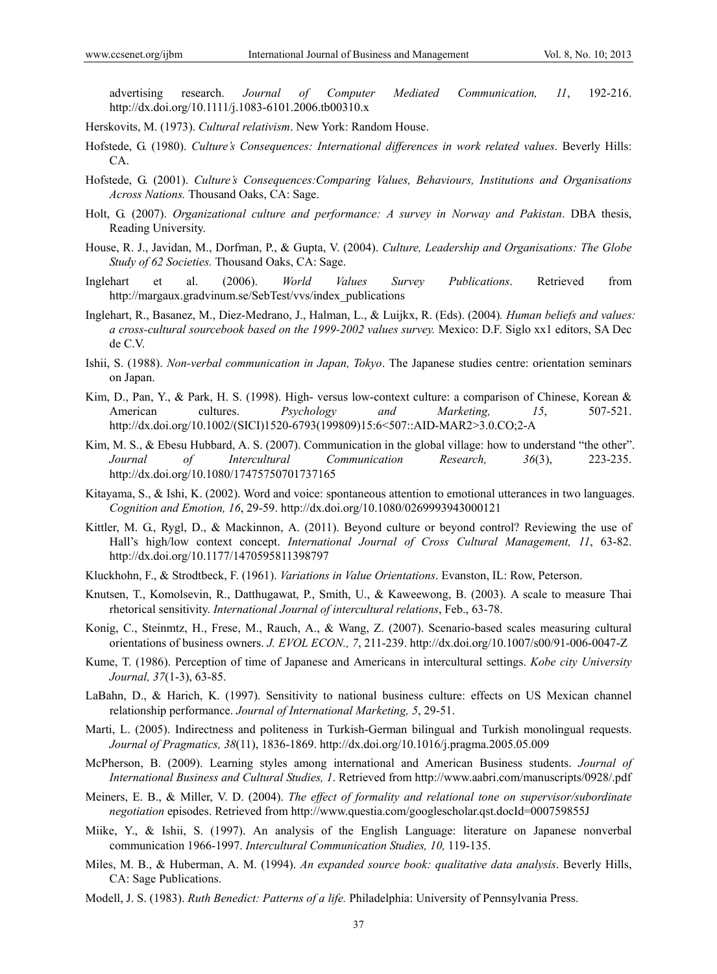advertising research. *Journal of Computer Mediated Communication, 11*, 192-216. http://dx.doi.org/10.1111/j.1083-6101.2006.tb00310.x

- Herskovits, M. (1973). *Cultural relativism*. New York: Random House.
- Hofstede, G. (1980). *Culture's Consequences: International differences in work related values*. Beverly Hills: CA.
- Hofstede, G. (2001). *Culture's Consequences:Comparing Values, Behaviours, Institutions and Organisations Across Nations.* Thousand Oaks, CA: Sage.
- Holt, G. (2007). *Organizational culture and performance: A survey in Norway and Pakistan*. DBA thesis, Reading University.
- House, R. J., Javidan, M., Dorfman, P., & Gupta, V. (2004). *Culture, Leadership and Organisations: The Globe Study of 62 Societies.* Thousand Oaks, CA: Sage.
- Inglehart et al. (2006). *World Values Survey Publications*. Retrieved from http://margaux.gradvinum.se/SebTest/vvs/index\_publications
- Inglehart, R., Basanez, M., Diez-Medrano, J., Halman, L., & Luijkx, R. (Eds). (2004)*. Human beliefs and values: a cross-cultural sourcebook based on the 1999-2002 values survey.* Mexico: D.F. Siglo xx1 editors, SA Dec de C.V.
- Ishii, S. (1988). *Non-verbal communication in Japan, Tokyo*. The Japanese studies centre: orientation seminars on Japan.
- Kim, D., Pan, Y., & Park, H. S. (1998). High- versus low-context culture: a comparison of Chinese, Korean & American cultures. *Psychology and Marketing, 15*, 507-521. http://dx.doi.org/10.1002/(SICI)1520-6793(199809)15:6<507::AID-MAR2>3.0.CO;2-A
- Kim, M. S., & Ebesu Hubbard, A. S. (2007). Communication in the global village: how to understand "the other". *Journal of Intercultural Communication Research, 36*(3), 223-235. http://dx.doi.org/10.1080/17475750701737165
- Kitayama, S., & Ishi, K. (2002). Word and voice: spontaneous attention to emotional utterances in two languages. *Cognition and Emotion, 16*, 29-59. http://dx.doi.org/10.1080/0269993943000121
- Kittler, M. G., Rygl, D., & Mackinnon, A. (2011). Beyond culture or beyond control? Reviewing the use of Hall's high/low context concept. *International Journal of Cross Cultural Management, 11*, 63-82. http://dx.doi.org/10.1177/1470595811398797
- Kluckhohn, F., & Strodtbeck, F. (1961). *Variations in Value Orientations*. Evanston, IL: Row, Peterson.
- Knutsen, T., Komolsevin, R., Datthugawat, P., Smith, U., & Kaweewong, B. (2003). A scale to measure Thai rhetorical sensitivity. *International Journal of intercultural relations*, Feb., 63-78.
- Konig, C., Steinmtz, H., Frese, M., Rauch, A., & Wang, Z. (2007). Scenario-based scales measuring cultural orientations of business owners. *J. EVOL ECON., 7*, 211-239. http://dx.doi.org/10.1007/s00/91-006-0047-Z
- Kume, T. (1986). Perception of time of Japanese and Americans in intercultural settings. *Kobe city University Journal, 37*(1-3), 63-85.
- LaBahn, D., & Harich, K. (1997). Sensitivity to national business culture: effects on US Mexican channel relationship performance. *Journal of International Marketing, 5*, 29-51.
- Marti, L. (2005). Indirectness and politeness in Turkish-German bilingual and Turkish monolingual requests. *Journal of Pragmatics, 38*(11), 1836-1869. http://dx.doi.org/10.1016/j.pragma.2005.05.009
- McPherson, B. (2009). Learning styles among international and American Business students. *Journal of International Business and Cultural Studies, 1*. Retrieved from http://www.aabri.com/manuscripts/0928/.pdf
- Meiners, E. B., & Miller, V. D. (2004). *The effect of formality and relational tone on supervisor/subordinate negotiation* episodes. Retrieved from http://www.questia.com/googlescholar.qst.docId=000759855J
- Miike, Y., & Ishii, S. (1997). An analysis of the English Language: literature on Japanese nonverbal communication 1966-1997. *Intercultural Communication Studies, 10,* 119-135.
- Miles, M. B., & Huberman, A. M. (1994). *An expanded source book: qualitative data analysis*. Beverly Hills, CA: Sage Publications.
- Modell, J. S. (1983). *Ruth Benedict: Patterns of a life.* Philadelphia: University of Pennsylvania Press.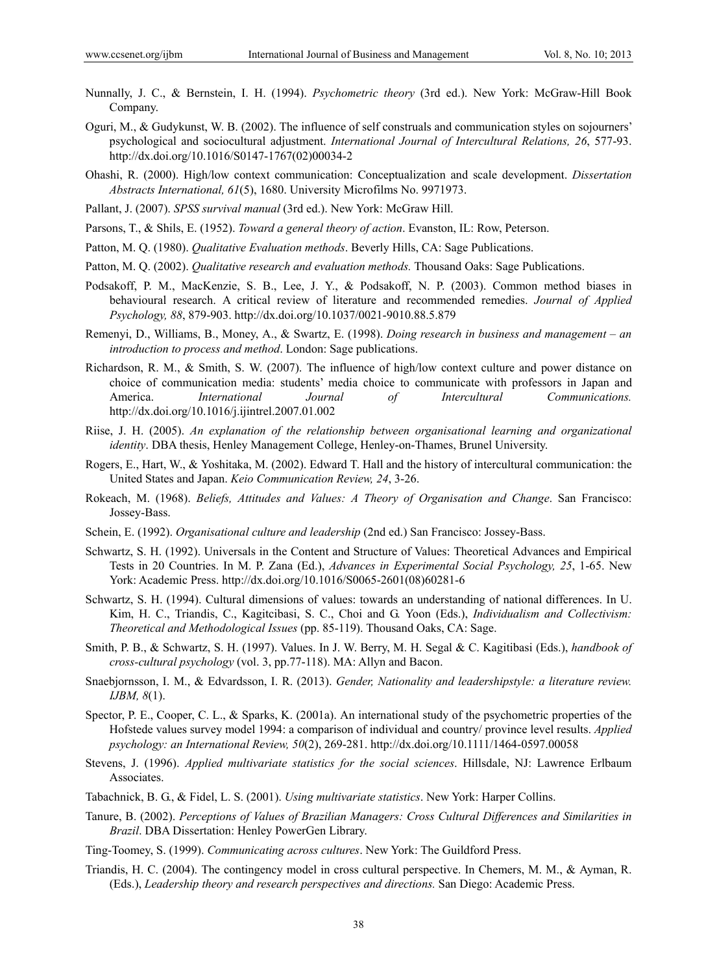- Nunnally, J. C., & Bernstein, I. H. (1994). *Psychometric theory* (3rd ed.). New York: McGraw-Hill Book Company.
- Oguri, M., & Gudykunst, W. B. (2002). The influence of self construals and communication styles on sojourners' psychological and sociocultural adjustment. *International Journal of Intercultural Relations, 26*, 577-93. http://dx.doi.org/10.1016/S0147-1767(02)00034-2
- Ohashi, R. (2000). High/low context communication: Conceptualization and scale development. *Dissertation Abstracts International, 61*(5), 1680. University Microfilms No. 9971973.
- Pallant, J. (2007). *SPSS survival manual* (3rd ed.). New York: McGraw Hill.
- Parsons, T., & Shils, E. (1952). *Toward a general theory of action*. Evanston, IL: Row, Peterson.
- Patton, M. Q. (1980). *Qualitative Evaluation methods*. Beverly Hills, CA: Sage Publications.
- Patton, M. Q. (2002). *Qualitative research and evaluation methods.* Thousand Oaks: Sage Publications.
- Podsakoff, P. M., MacKenzie, S. B., Lee, J. Y., & Podsakoff, N. P. (2003). Common method biases in behavioural research. A critical review of literature and recommended remedies. *Journal of Applied Psychology, 88*, 879-903. http://dx.doi.org/10.1037/0021-9010.88.5.879
- Remenyi, D., Williams, B., Money, A., & Swartz, E. (1998). *Doing research in business and management an introduction to process and method*. London: Sage publications.
- Richardson, R. M., & Smith, S. W. (2007). The influence of high/low context culture and power distance on choice of communication media: students' media choice to communicate with professors in Japan and America. *International Journal of Intercultural Communications.* http://dx.doi.org/10.1016/j.ijintrel.2007.01.002
- Riise, J. H. (2005). *An explanation of the relationship between organisational learning and organizational identity*. DBA thesis, Henley Management College, Henley-on-Thames, Brunel University.
- Rogers, E., Hart, W., & Yoshitaka, M. (2002). Edward T. Hall and the history of intercultural communication: the United States and Japan. *Keio Communication Review, 24*, 3-26.
- Rokeach, M. (1968). *Beliefs, Attitudes and Values: A Theory of Organisation and Change*. San Francisco: Jossey-Bass.
- Schein, E. (1992). *Organisational culture and leadership* (2nd ed.) San Francisco: Jossey-Bass.
- Schwartz, S. H. (1992). Universals in the Content and Structure of Values: Theoretical Advances and Empirical Tests in 20 Countries. In M. P. Zana (Ed.), *Advances in Experimental Social Psychology, 25*, 1-65. New York: Academic Press. http://dx.doi.org/10.1016/S0065-2601(08)60281-6
- Schwartz, S. H. (1994). Cultural dimensions of values: towards an understanding of national differences. In U. Kim, H. C., Triandis, C., Kagitcibasi, S. C., Choi and G. Yoon (Eds.), *Individualism and Collectivism: Theoretical and Methodological Issues* (pp. 85-119). Thousand Oaks, CA: Sage.
- Smith, P. B., & Schwartz, S. H. (1997). Values. In J. W. Berry, M. H. Segal & C. Kagitibasi (Eds.), *handbook of cross-cultural psychology* (vol. 3, pp.77-118). MA: Allyn and Bacon.
- Snaebjornsson, I. M., & Edvardsson, I. R. (2013). *Gender, Nationality and leadershipstyle: a literature review. IJBM, 8*(1).
- Spector, P. E., Cooper, C. L., & Sparks, K. (2001a). An international study of the psychometric properties of the Hofstede values survey model 1994: a comparison of individual and country/ province level results. *Applied psychology: an International Review, 50*(2), 269-281. http://dx.doi.org/10.1111/1464-0597.00058
- Stevens, J. (1996). *Applied multivariate statistics for the social sciences*. Hillsdale, NJ: Lawrence Erlbaum Associates.
- Tabachnick, B. G., & Fidel, L. S. (2001). *Using multivariate statistics*. New York: Harper Collins.
- Tanure, B. (2002). *Perceptions of Values of Brazilian Managers: Cross Cultural Differences and Similarities in Brazil*. DBA Dissertation: Henley PowerGen Library.
- Ting-Toomey, S. (1999). *Communicating across cultures*. New York: The Guildford Press.
- Triandis, H. C. (2004). The contingency model in cross cultural perspective. In Chemers, M. M., & Ayman, R. (Eds.), *Leadership theory and research perspectives and directions.* San Diego: Academic Press.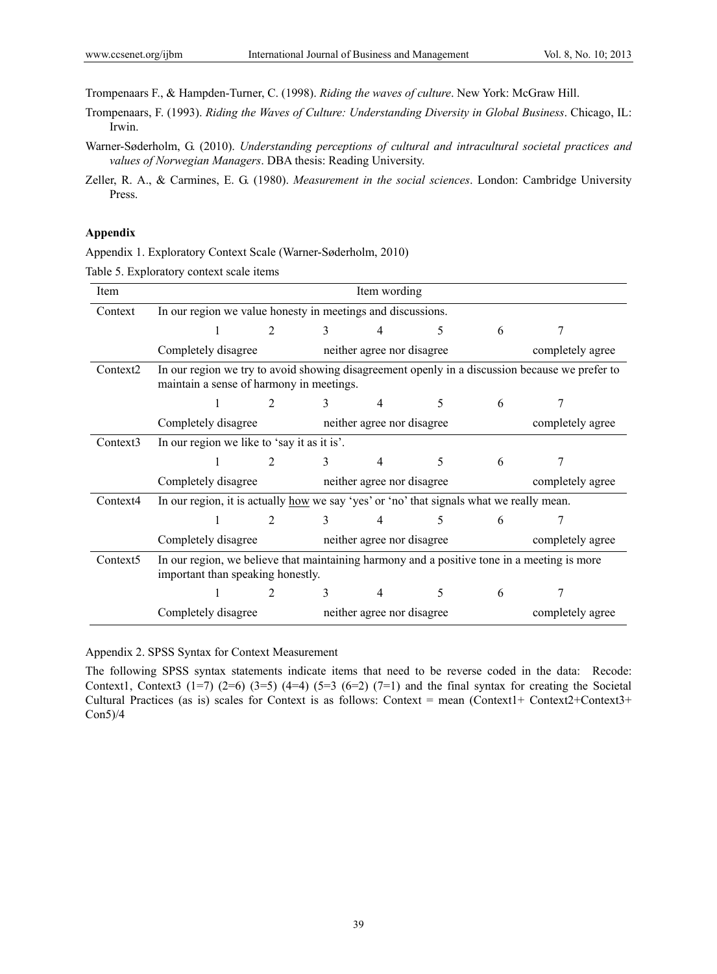Trompenaars F., & Hampden-Turner, C. (1998). *Riding the waves of culture*. New York: McGraw Hill.

- Trompenaars, F. (1993). *Riding the Waves of Culture: Understanding Diversity in Global Business*. Chicago, IL: Irwin.
- Warner-Søderholm, G. (2010). *Understanding perceptions of cultural and intracultural societal practices and values of Norwegian Managers*. DBA thesis: Reading University.

## **Appendix**

Appendix 1. Exploratory Context Scale (Warner-Søderholm, 2010)

Table 5. Exploratory context scale items

| Item                 | Item wording                                                                                                                     |                |               |                                                |                  |   |                                                                                                |  |
|----------------------|----------------------------------------------------------------------------------------------------------------------------------|----------------|---------------|------------------------------------------------|------------------|---|------------------------------------------------------------------------------------------------|--|
| Context              | In our region we value honesty in meetings and discussions.                                                                      |                |               |                                                |                  |   |                                                                                                |  |
|                      |                                                                                                                                  | $\overline{2}$ | $\mathcal{E}$ | 4                                              | 5                | 6 |                                                                                                |  |
|                      | Completely disagree                                                                                                              |                |               | neither agree nor disagree                     |                  |   | completely agree                                                                               |  |
| Context <sub>2</sub> | maintain a sense of harmony in meetings.                                                                                         |                |               |                                                |                  |   | In our region we try to avoid showing disagreement openly in a discussion because we prefer to |  |
|                      |                                                                                                                                  | $\overline{2}$ | 3             | 4                                              | 5.               | 6 |                                                                                                |  |
|                      | Completely disagree                                                                                                              |                |               | neither agree nor disagree                     |                  |   | completely agree                                                                               |  |
| Context3             | In our region we like to 'say it as it is'.                                                                                      |                |               |                                                |                  |   |                                                                                                |  |
|                      |                                                                                                                                  | $\overline{2}$ | $\mathcal{E}$ | 4                                              | 5                | 6 |                                                                                                |  |
|                      | Completely disagree neither agree nor disagree                                                                                   |                |               |                                                | completely agree |   |                                                                                                |  |
| Context4             | In our region, it is actually <u>how</u> we say 'yes' or 'no' that signals what we really mean.                                  |                |               |                                                |                  |   |                                                                                                |  |
|                      |                                                                                                                                  | $\overline{2}$ | 3             | 4                                              | 5                | 6 | 7                                                                                              |  |
|                      | Completely disagree<br>neither agree nor disagree                                                                                |                |               |                                                |                  |   | completely agree                                                                               |  |
| Context <sub>5</sub> | In our region, we believe that maintaining harmony and a positive tone in a meeting is more<br>important than speaking honestly. |                |               |                                                |                  |   |                                                                                                |  |
|                      |                                                                                                                                  |                | 3             | 4                                              | 5.               | 6 |                                                                                                |  |
|                      | Completely disagree                                                                                                              |                |               | neither agree nor disagree<br>completely agree |                  |   |                                                                                                |  |

Appendix 2. SPSS Syntax for Context Measurement

The following SPSS syntax statements indicate items that need to be reverse coded in the data: Recode: Context1, Context3 (1=7) (2=6) (3=5) (4=4) (5=3 (6=2) (7=1) and the final syntax for creating the Societal Cultural Practices (as is) scales for Context is as follows: Context = mean (Context1+ Context2+Context3+ Con5)/4

Zeller, R. A., & Carmines, E. G. (1980). *Measurement in the social sciences*. London: Cambridge University Press.